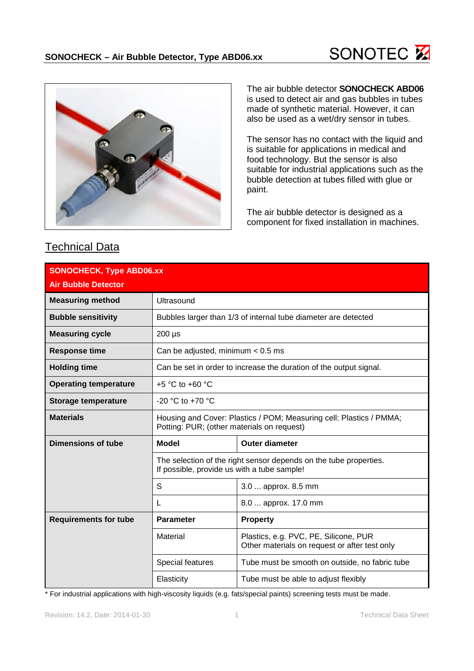



## is used to detect air and gas bubbles in tubes made of synthetic material. However, it can also be used as a wet/dry sensor in tubes.

The air bubble detector **SONOCHECK ABD06**

The sensor has no contact with the liquid and is suitable for applications in medical and food technology. But the sensor is also suitable for industrial applications such as the bubble detection at tubes filled with glue or paint.

The air bubble detector is designed as a component for fixed installation in machines.

| <b>SONOCHECK, Type ABD06.xx</b> |                                                                                                                   |                                                                                        |  |
|---------------------------------|-------------------------------------------------------------------------------------------------------------------|----------------------------------------------------------------------------------------|--|
| <b>Air Bubble Detector</b>      |                                                                                                                   |                                                                                        |  |
| <b>Measuring method</b>         | Ultrasound                                                                                                        |                                                                                        |  |
| <b>Bubble sensitivity</b>       |                                                                                                                   | Bubbles larger than 1/3 of internal tube diameter are detected                         |  |
| <b>Measuring cycle</b>          | $200 \mu s$                                                                                                       |                                                                                        |  |
| <b>Response time</b>            | Can be adjusted, minimum $< 0.5$ ms                                                                               |                                                                                        |  |
| <b>Holding time</b>             | Can be set in order to increase the duration of the output signal.                                                |                                                                                        |  |
| <b>Operating temperature</b>    | +5 $\degree$ C to +60 $\degree$ C                                                                                 |                                                                                        |  |
| <b>Storage temperature</b>      | $-20$ °C to $+70$ °C                                                                                              |                                                                                        |  |
| <b>Materials</b>                | Housing and Cover: Plastics / POM; Measuring cell: Plastics / PMMA;<br>Potting: PUR; (other materials on request) |                                                                                        |  |
| Dimensions of tube              | <b>Model</b>                                                                                                      | <b>Outer diameter</b>                                                                  |  |
|                                 | The selection of the right sensor depends on the tube properties.<br>If possible, provide us with a tube sample!  |                                                                                        |  |
|                                 | S                                                                                                                 | 3.0  approx. 8.5 mm                                                                    |  |
|                                 | L                                                                                                                 | 8.0  approx. 17.0 mm                                                                   |  |
| <b>Requirements for tube</b>    | <b>Parameter</b>                                                                                                  | <b>Property</b>                                                                        |  |
|                                 | Material                                                                                                          | Plastics, e.g. PVC, PE, Silicone, PUR<br>Other materials on request or after test only |  |
|                                 | Special features                                                                                                  | Tube must be smooth on outside, no fabric tube                                         |  |
|                                 | Elasticity                                                                                                        | Tube must be able to adjust flexibly                                                   |  |

Technical Data

\* For industrial applications with high-viscosity liquids (e.g. fats/special paints) screening tests must be made.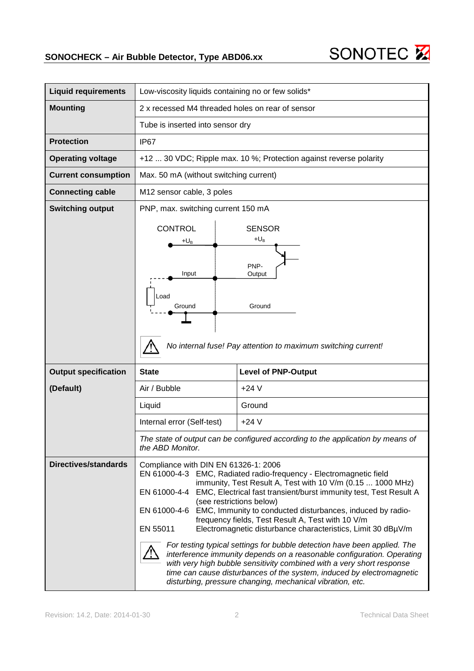

| <b>Liquid requirements</b>  | Low-viscosity liquids containing no or few solids*                 |                                                                                                                                                    |  |
|-----------------------------|--------------------------------------------------------------------|----------------------------------------------------------------------------------------------------------------------------------------------------|--|
| <b>Mounting</b>             | 2 x recessed M4 threaded holes on rear of sensor                   |                                                                                                                                                    |  |
|                             | Tube is inserted into sensor dry                                   |                                                                                                                                                    |  |
| <b>Protection</b>           | IP67                                                               |                                                                                                                                                    |  |
| <b>Operating voltage</b>    | +12  30 VDC; Ripple max. 10 %; Protection against reverse polarity |                                                                                                                                                    |  |
| <b>Current consumption</b>  | Max. 50 mA (without switching current)                             |                                                                                                                                                    |  |
| <b>Connecting cable</b>     | M12 sensor cable, 3 poles                                          |                                                                                                                                                    |  |
| <b>Switching output</b>     | PNP, max. switching current 150 mA                                 |                                                                                                                                                    |  |
|                             | <b>CONTROL</b>                                                     | <b>SENSOR</b>                                                                                                                                      |  |
|                             | +U <sub>B</sub>                                                    | $+U_B$                                                                                                                                             |  |
|                             |                                                                    | PNP-                                                                                                                                               |  |
|                             | Input                                                              | Output                                                                                                                                             |  |
|                             | Load                                                               |                                                                                                                                                    |  |
|                             | Ground                                                             | Ground                                                                                                                                             |  |
|                             |                                                                    |                                                                                                                                                    |  |
|                             |                                                                    | No internal fuse! Pay attention to maximum switching current!                                                                                      |  |
|                             |                                                                    |                                                                                                                                                    |  |
| <b>Output specification</b> | <b>State</b>                                                       | <b>Level of PNP-Output</b>                                                                                                                         |  |
| (Default)                   | Air / Bubble                                                       | $+24V$                                                                                                                                             |  |
|                             | Liquid                                                             | Ground                                                                                                                                             |  |
|                             | Internal error (Self-test)                                         | $+24V$                                                                                                                                             |  |
|                             | the ABD Monitor.                                                   | The state of output can be configured according to the application by means of                                                                     |  |
| <b>Directives/standards</b> | Compliance with DIN EN 61326-1: 2006                               |                                                                                                                                                    |  |
|                             | EN 61000-4-3                                                       | EMC, Radiated radio-frequency - Electromagnetic field<br>immunity, Test Result A, Test with 10 V/m (0.15  1000 MHz)                                |  |
|                             | (see restrictions below)                                           | EN 61000-4-4 EMC, Electrical fast transient/burst immunity test, Test Result A                                                                     |  |
|                             | EN 61000-4-6                                                       | EMC, Immunity to conducted disturbances, induced by radio-<br>frequency fields, Test Result A, Test with 10 V/m                                    |  |
|                             | EN 55011                                                           | Electromagnetic disturbance characteristics, Limit 30 dBµV/m                                                                                       |  |
|                             |                                                                    | For testing typical settings for bubble detection have been applied. The<br>interference immunity depends on a reasonable configuration. Operating |  |
|                             |                                                                    | with very high bubble sensitivity combined with a very short response                                                                              |  |
|                             |                                                                    | time can cause disturbances of the system, induced by electromagnetic<br>disturbing, pressure changing, mechanical vibration, etc.                 |  |

SONOTEC<sup>E</sup>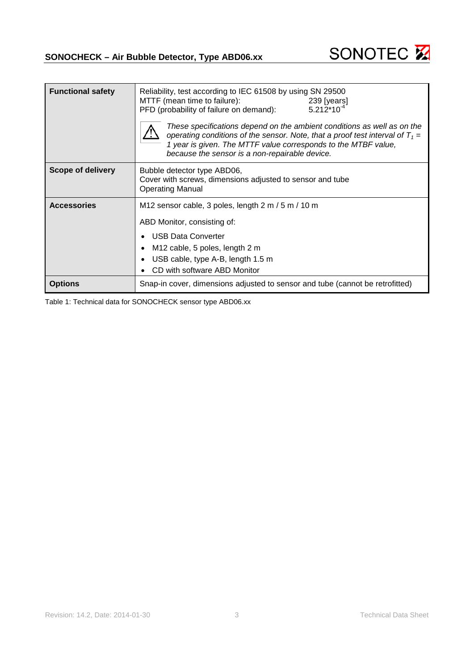



| <b>Functional safety</b> | Reliability, test according to IEC 61508 by using SN 29500<br>MTTF (mean time to failure):<br>239 [years]<br>$5.212*10^{-4}$<br>PFD (probability of failure on demand):<br>These specifications depend on the ambient conditions as well as on the<br>operating conditions of the sensor. Note, that a proof test interval of $T_1$ =<br>1 year is given. The MTTF value corresponds to the MTBF value,<br>because the sensor is a non-repairable device. |  |
|--------------------------|-----------------------------------------------------------------------------------------------------------------------------------------------------------------------------------------------------------------------------------------------------------------------------------------------------------------------------------------------------------------------------------------------------------------------------------------------------------|--|
| Scope of delivery        | Bubble detector type ABD06,<br>Cover with screws, dimensions adjusted to sensor and tube<br><b>Operating Manual</b>                                                                                                                                                                                                                                                                                                                                       |  |
| <b>Accessories</b>       | M12 sensor cable, 3 poles, length 2 m / 5 m / 10 m<br>ABD Monitor, consisting of:<br><b>USB Data Converter</b><br>M12 cable, 5 poles, length 2 m<br>USB cable, type A-B, length 1.5 m<br>CD with software ABD Monitor                                                                                                                                                                                                                                     |  |
| <b>Options</b>           | Snap-in cover, dimensions adjusted to sensor and tube (cannot be retrofitted)                                                                                                                                                                                                                                                                                                                                                                             |  |

Table 1: Technical data for SONOCHECK sensor type ABD06.xx